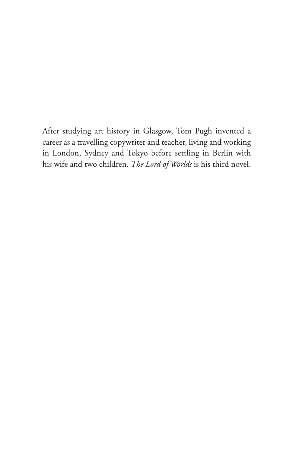After studying art history in Glasgow, Tom Pugh invented a career as a travelling copywriter and teacher, living and working in London, Sydney and Tokyo before settling in Berlin with his wife and two children. *The Lord of Worlds* is his third novel.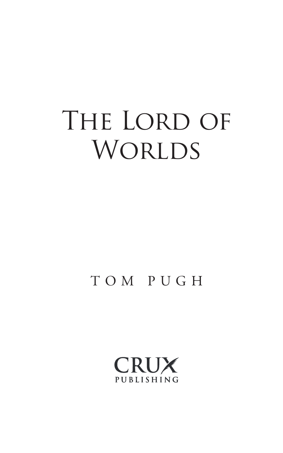# THE LORD OF WORLDS

### T O M P U G H

CRUX PUBLISHING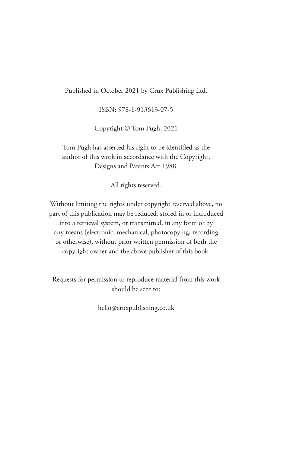Published in October 2021 by Crux Publishing Ltd.

ISBN: 978-1-913613-07-5

Copyright © Tom Pugh, 2021

Tom Pugh has asserted his right to be identified as the author of this work in accordance with the Copyright, Designs and Patents Act 1988.

All rights reserved.

Without limiting the rights under copyright reserved above, no part of this publication may be reduced, stored in or introduced into a retrieval system, or transmitted, in any form or by any means (electronic, mechanical, photocopying, recording or otherwise), without prior written permission of both the copyright owner and the above publisher of this book.

Requests for permission to reproduce material from this work should be sent to:

hello@cruxpublishing.co.uk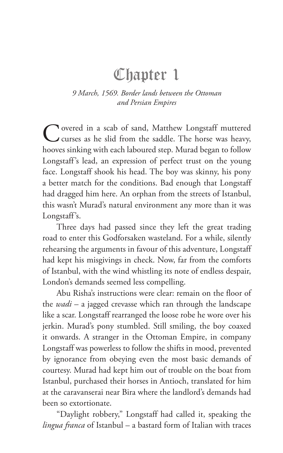# Chapter 1

#### *9 March, 1569. Border lands between the Ottoman and Persian Empires*

Covered in a scab of sand, Matthew Longstaff muttered curses as he slid from the saddle. The horse was heavy, hooves sinking with each laboured step. Murad began to follow Longstaff's lead, an expression of perfect trust on the young face. Longstaff shook his head. The boy was skinny, his pony a better match for the conditions. Bad enough that Longstaff had dragged him here. An orphan from the streets of Istanbul, this wasn't Murad's natural environment any more than it was Longstaff's.

Three days had passed since they left the great trading road to enter this Godforsaken wasteland. For a while, silently rehearsing the arguments in favour of this adventure, Longstaff had kept his misgivings in check. Now, far from the comforts of Istanbul, with the wind whistling its note of endless despair, London's demands seemed less compelling.

Abu Risha's instructions were clear: remain on the floor of the *wadi* – a jagged crevasse which ran through the landscape like a scar. Longstaff rearranged the loose robe he wore over his jerkin. Murad's pony stumbled. Still smiling, the boy coaxed it onwards. A stranger in the Ottoman Empire, in company Longstaff was powerless to follow the shifts in mood, prevented by ignorance from obeying even the most basic demands of courtesy. Murad had kept him out of trouble on the boat from Istanbul, purchased their horses in Antioch, translated for him at the caravanserai near Bira where the landlord's demands had been so extortionate.

"Daylight robbery," Longstaff had called it, speaking the *lingua franca* of Istanbul – a bastard form of Italian with traces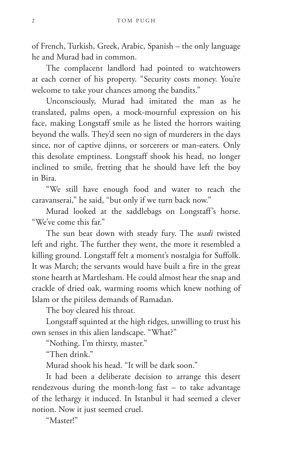of French, Turkish, Greek, Arabic, Spanish – the only language he and Murad had in common.

The complacent landlord had pointed to watchtowers at each corner of his property. "Security costs money. You're welcome to take your chances among the bandits."

Unconsciously, Murad had imitated the man as he translated, palms open, a mock-mournful expression on his face, making Longstaff smile as he listed the horrors waiting beyond the walls. They'd seen no sign of murderers in the days since, nor of captive djinns, or sorcerers or man-eaters. Only this desolate emptiness. Longstaff shook his head, no longer inclined to smile, fretting that he should have left the boy in Bira.

"We still have enough food and water to reach the caravanserai," he said, "but only if we turn back now."

Murad looked at the saddlebags on Longstaff's horse. "We've come this far."

The sun beat down with steady fury. The *wadi* twisted left and right. The further they went, the more it resembled a killing ground. Longstaff felt a moment's nostalgia for Suffolk. It was March; the servants would have built a fire in the great stone hearth at Martlesham. He could almost hear the snap and crackle of dried oak, warming rooms which knew nothing of Islam or the pitiless demands of Ramadan.

The boy cleared his throat.

Longstaff squinted at the high ridges, unwilling to trust his own senses in this alien landscape. "What?"

"Nothing. I'm thirsty, master."

"Then drink."

Murad shook his head. "It will be dark soon."

It had been a deliberate decision to arrange this desert rendezvous during the month-long fast – to take advantage of the lethargy it induced. In Istanbul it had seemed a clever notion. Now it just seemed cruel.

"Master!"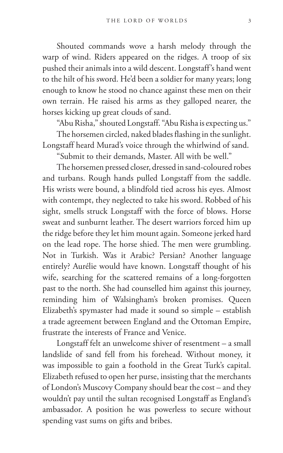Shouted commands wove a harsh melody through the warp of wind. Riders appeared on the ridges. A troop of six pushed their animals into a wild descent. Longstaff's hand went to the hilt of his sword. He'd been a soldier for many years; long enough to know he stood no chance against these men on their own terrain. He raised his arms as they galloped nearer, the horses kicking up great clouds of sand.

"Abu Risha," shouted Longstaff. "Abu Risha is expecting us."

The horsemen circled, naked blades flashing in the sunlight. Longstaff heard Murad's voice through the whirlwind of sand.

"Submit to their demands, Master. All with be well."

The horsemen pressed closer, dressed in sand-coloured robes and turbans. Rough hands pulled Longstaff from the saddle. His wrists were bound, a blindfold tied across his eyes. Almost with contempt, they neglected to take his sword. Robbed of his sight, smells struck Longstaff with the force of blows. Horse sweat and sunburnt leather. The desert warriors forced him up the ridge before they let him mount again. Someone jerked hard on the lead rope. The horse shied. The men were grumbling. Not in Turkish. Was it Arabic? Persian? Another language entirely? Aurélie would have known. Longstaff thought of his wife, searching for the scattered remains of a long-forgotten past to the north. She had counselled him against this journey, reminding him of Walsingham's broken promises. Queen Elizabeth's spymaster had made it sound so simple – establish a trade agreement between England and the Ottoman Empire, frustrate the interests of France and Venice.

Longstaff felt an unwelcome shiver of resentment – a small landslide of sand fell from his forehead. Without money, it was impossible to gain a foothold in the Great Turk's capital. Elizabeth refused to open her purse, insisting that the merchants of London's Muscovy Company should bear the cost – and they wouldn't pay until the sultan recognised Longstaff as England's ambassador. A position he was powerless to secure without spending vast sums on gifts and bribes.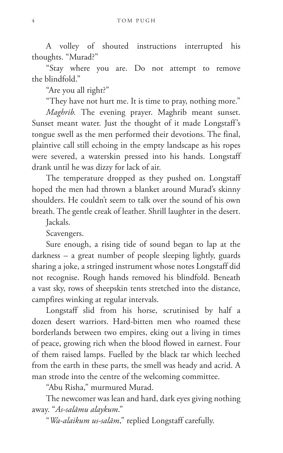A volley of shouted instructions interrupted his thoughts. "Murad?"

"Stay where you are. Do not attempt to remove the blindfold."

"Are you all right?"

"They have not hurt me. It is time to pray, nothing more."

*Maghrib.* The evening prayer. Maghrib meant sunset. Sunset meant water. Just the thought of it made Longstaff's tongue swell as the men performed their devotions. The final, plaintive call still echoing in the empty landscape as his ropes were severed, a waterskin pressed into his hands. Longstaff drank until he was dizzy for lack of air.

The temperature dropped as they pushed on. Longstaff hoped the men had thrown a blanket around Murad's skinny shoulders. He couldn't seem to talk over the sound of his own breath. The gentle creak of leather. Shrill laughter in the desert.

Jackals.

Scavengers.

Sure enough, a rising tide of sound began to lap at the darkness – a great number of people sleeping lightly, guards sharing a joke, a stringed instrument whose notes Longstaff did not recognise. Rough hands removed his blindfold. Beneath a vast sky, rows of sheepskin tents stretched into the distance, campfires winking at regular intervals.

Longstaff slid from his horse, scrutinised by half a dozen desert warriors. Hard-bitten men who roamed these borderlands between two empires, eking out a living in times of peace, growing rich when the blood flowed in earnest. Four of them raised lamps. Fuelled by the black tar which leeched from the earth in these parts, the smell was heady and acrid. A man strode into the centre of the welcoming committee.

"Abu Risha," murmured Murad.

The newcomer was lean and hard, dark eyes giving nothing away. "*As-salāmu alaykum*."

"*Wa-alaikum us-salām*," replied Longstaff carefully.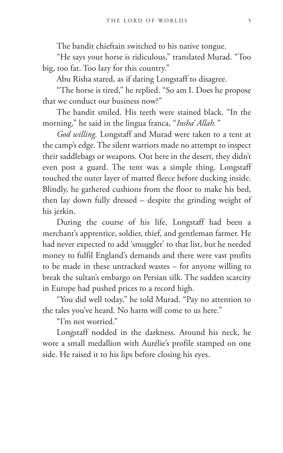The bandit chieftain switched to his native tongue.

"He says your horse is ridiculous," translated Murad. "Too big, too fat. Too lazy for this country."

Abu Risha stared, as if daring Longstaff to disagree.

"The horse is tired," he replied. "So am I. Does he propose that we conduct our business now?"

The bandit smiled. His teeth were stained black. "In the morning," he said in the lingua franca, "*Insha' Allah."*

*God willing.* Longstaff and Murad were taken to a tent at the camp's edge. The silent warriors made no attempt to inspect their saddlebags or weapons. Out here in the desert, they didn't even post a guard. The tent was a simple thing. Longstaff touched the outer layer of matted fleece before ducking inside. Blindly, he gathered cushions from the floor to make his bed, then lay down fully dressed – despite the grinding weight of his jerkin.

During the course of his life, Longstaff had been a merchant's apprentice, soldier, thief, and gentleman farmer. He had never expected to add 'smuggler' to that list, but he needed money to fulfil England's demands and there were vast profits to be made in these untracked wastes – for anyone willing to break the sultan's embargo on Persian silk. The sudden scarcity in Europe had pushed prices to a record high.

"You did well today," he told Murad. "Pay no attention to the tales you've heard. No harm will come to us here."

"I'm not worried."

Longstaff nodded in the darkness. Around his neck, he wore a small medallion with Aurélie's profile stamped on one side. He raised it to his lips before closing his eyes.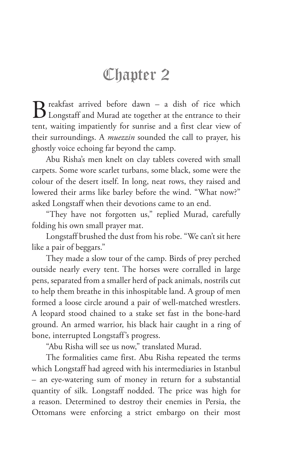# Chapter 2

 $\mathbf{B}$  reakfast arrived before dawn – a dish of rice which Longstaff and Murad ate together at the entrance to their tent, waiting impatiently for sunrise and a first clear view of their surroundings. A *muezzin* sounded the call to prayer, his ghostly voice echoing far beyond the camp.

Abu Risha's men knelt on clay tablets covered with small carpets. Some wore scarlet turbans, some black, some were the colour of the desert itself. In long, neat rows, they raised and lowered their arms like barley before the wind. "What now?" asked Longstaff when their devotions came to an end.

"They have not forgotten us," replied Murad, carefully folding his own small prayer mat.

Longstaff brushed the dust from his robe. "We can't sit here like a pair of beggars."

They made a slow tour of the camp. Birds of prey perched outside nearly every tent. The horses were corralled in large pens, separated from a smaller herd of pack animals, nostrils cut to help them breathe in this inhospitable land. A group of men formed a loose circle around a pair of well-matched wrestlers. A leopard stood chained to a stake set fast in the bone-hard ground. An armed warrior, his black hair caught in a ring of bone, interrupted Longstaff's progress.

"Abu Risha will see us now," translated Murad.

The formalities came first. Abu Risha repeated the terms which Longstaff had agreed with his intermediaries in Istanbul – an eye-watering sum of money in return for a substantial quantity of silk. Longstaff nodded. The price was high for a reason. Determined to destroy their enemies in Persia, the Ottomans were enforcing a strict embargo on their most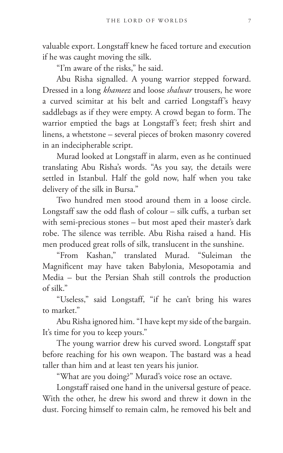valuable export. Longstaff knew he faced torture and execution if he was caught moving the silk.

"I'm aware of the risks," he said.

Abu Risha signalled. A young warrior stepped forward. Dressed in a long *khameez* and loose *shalwar* trousers, he wore a curved scimitar at his belt and carried Longstaff's heavy saddlebags as if they were empty. A crowd began to form. The warrior emptied the bags at Longstaff's feet; fresh shirt and linens, a whetstone – several pieces of broken masonry covered in an indecipherable script.

Murad looked at Longstaff in alarm, even as he continued translating Abu Risha's words. "As you say, the details were settled in Istanbul. Half the gold now, half when you take delivery of the silk in Bursa."

Two hundred men stood around them in a loose circle. Longstaff saw the odd flash of colour – silk cuffs, a turban set with semi-precious stones – but most aped their master's dark robe. The silence was terrible. Abu Risha raised a hand. His men produced great rolls of silk, translucent in the sunshine.

"From Kashan," translated Murad. "Suleiman the Magnificent may have taken Babylonia, Mesopotamia and Media – but the Persian Shah still controls the production of silk."

"Useless," said Longstaff, "if he can't bring his wares to market."

Abu Risha ignored him. "I have kept my side of the bargain. It's time for you to keep yours."

The young warrior drew his curved sword. Longstaff spat before reaching for his own weapon. The bastard was a head taller than him and at least ten years his junior.

"What are you doing?" Murad's voice rose an octave.

Longstaff raised one hand in the universal gesture of peace. With the other, he drew his sword and threw it down in the dust. Forcing himself to remain calm, he removed his belt and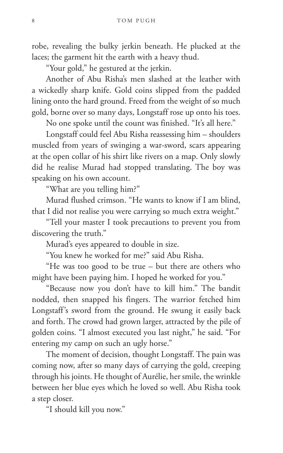robe, revealing the bulky jerkin beneath. He plucked at the laces; the garment hit the earth with a heavy thud.

"Your gold," he gestured at the jerkin.

Another of Abu Risha's men slashed at the leather with a wickedly sharp knife. Gold coins slipped from the padded lining onto the hard ground. Freed from the weight of so much gold, borne over so many days, Longstaff rose up onto his toes.

No one spoke until the count was finished. "It's all here."

Longstaff could feel Abu Risha reassessing him – shoulders muscled from years of swinging a war-sword, scars appearing at the open collar of his shirt like rivers on a map. Only slowly did he realise Murad had stopped translating. The boy was speaking on his own account.

"What are you telling him?"

Murad flushed crimson. "He wants to know if I am blind, that I did not realise you were carrying so much extra weight."

"Tell your master I took precautions to prevent you from discovering the truth."

Murad's eyes appeared to double in size.

"You knew he worked for me?" said Abu Risha.

"He was too good to be true – but there are others who might have been paying him. I hoped he worked for you."

"Because now you don't have to kill him." The bandit nodded, then snapped his fingers. The warrior fetched him Longstaff's sword from the ground. He swung it easily back and forth. The crowd had grown larger, attracted by the pile of golden coins. "I almost executed you last night," he said. "For entering my camp on such an ugly horse."

The moment of decision, thought Longstaff. The pain was coming now, after so many days of carrying the gold, creeping through his joints. He thought of Aurélie, her smile, the wrinkle between her blue eyes which he loved so well. Abu Risha took a step closer.

"I should kill you now."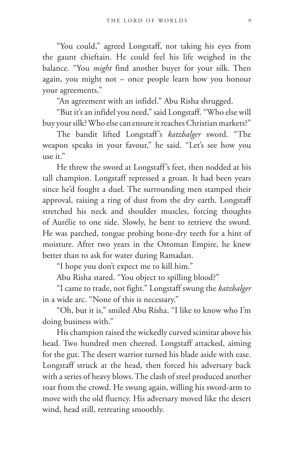"You could," agreed Longstaff, not taking his eyes from the gaunt chieftain. He could feel his life weighed in the balance. "You *might* find another buyer for your silk. Then again, you might not – once people learn how you honour your agreements."

"An agreement with an infidel." Abu Risha shrugged.

"But it's an infidel you need," said Longstaff. "Who else will buy your silk? Who else can ensure it reaches Christian markets?"

The bandit lifted Longstaff's *katzbalger* sword. "The weapon speaks in your favour," he said. "Let's see how you  $use it$ .

He threw the sword at Longstaff's feet, then nodded at his tall champion. Longstaff repressed a groan. It had been years since he'd fought a duel. The surrounding men stamped their approval, raising a ring of dust from the dry earth. Longstaff stretched his neck and shoulder muscles, forcing thoughts of Aurélie to one side. Slowly, he bent to retrieve the sword. He was parched, tongue probing bone-dry teeth for a hint of moisture. After two years in the Ottoman Empire, he knew better than to ask for water during Ramadan.

"I hope you don't expect me to kill him."

Abu Risha stared. "You object to spilling blood?"

"I came to trade, not fight." Longstaff swung the *katzbalger* in a wide arc. "None of this is necessary."

"Oh, but it is," smiled Abu Risha. "I like to know who I'm doing business with."

His champion raised the wickedly curved scimitar above his head. Two hundred men cheered. Longstaff attacked, aiming for the gut. The desert warrior turned his blade aside with ease. Longstaff struck at the head, then forced his adversary back with a series of heavy blows. The clash of steel produced another roar from the crowd. He swung again, willing his sword-arm to move with the old fluency. His adversary moved like the desert wind, head still, retreating smoothly.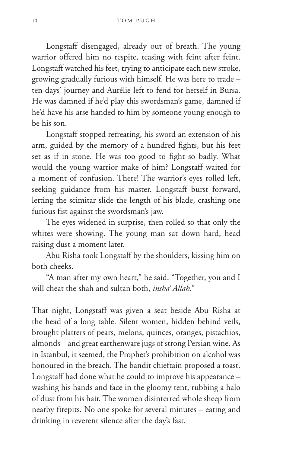Longstaff disengaged, already out of breath. The young warrior offered him no respite, teasing with feint after feint. Longstaff watched his feet, trying to anticipate each new stroke, growing gradually furious with himself. He was here to trade – ten days' journey and Aurélie left to fend for herself in Bursa. He was damned if he'd play this swordsman's game, damned if he'd have his arse handed to him by someone young enough to be his son.

Longstaff stopped retreating, his sword an extension of his arm, guided by the memory of a hundred fights, but his feet set as if in stone. He was too good to fight so badly. What would the young warrior make of him? Longstaff waited for a moment of confusion. There! The warrior's eyes rolled left, seeking guidance from his master. Longstaff burst forward, letting the scimitar slide the length of his blade, crashing one furious fist against the swordsman's jaw.

The eyes widened in surprise, then rolled so that only the whites were showing. The young man sat down hard, head raising dust a moment later.

Abu Risha took Longstaff by the shoulders, kissing him on both cheeks.

"A man after my own heart," he said. "Together, you and I will cheat the shah and sultan both, *insha' Allah*."

That night, Longstaff was given a seat beside Abu Risha at the head of a long table. Silent women, hidden behind veils, brought platters of pears, melons, quinces, oranges, pistachios, almonds – and great earthenware jugs of strong Persian wine. As in Istanbul, it seemed, the Prophet's prohibition on alcohol was honoured in the breach. The bandit chieftain proposed a toast. Longstaff had done what he could to improve his appearance – washing his hands and face in the gloomy tent, rubbing a halo of dust from his hair. The women disinterred whole sheep from nearby firepits. No one spoke for several minutes – eating and drinking in reverent silence after the day's fast.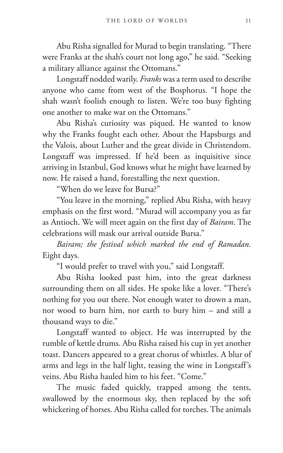Abu Risha signalled for Murad to begin translating. "There were Franks at the shah's court not long ago," he said. "Seeking a military alliance against the Ottomans."

Longstaff nodded warily. *Franks* was a term used to describe anyone who came from west of the Bosphorus. "I hope the shah wasn't foolish enough to listen. We're too busy fighting one another to make war on the Ottomans."

Abu Risha's curiosity was piqued. He wanted to know why the Franks fought each other. About the Hapsburgs and the Valois, about Luther and the great divide in Christendom. Longstaff was impressed. If he'd been as inquisitive since arriving in Istanbul, God knows what he might have learned by now. He raised a hand, forestalling the next question.

"When do we leave for Bursa?"

"You leave in the morning," replied Abu Risha, with heavy emphasis on the first word. "Murad will accompany you as far as Antioch. We will meet again on the first day of *Bairam*. The celebrations will mask our arrival outside Bursa."

*Bairam; the festival which marked the end of Ramadan.* Eight days.

"I would prefer to travel with you," said Longstaff.

Abu Risha looked past him, into the great darkness surrounding them on all sides. He spoke like a lover. "There's nothing for you out there. Not enough water to drown a man, nor wood to burn him, nor earth to bury him – and still a thousand ways to die."

Longstaff wanted to object. He was interrupted by the rumble of kettle drums. Abu Risha raised his cup in yet another toast. Dancers appeared to a great chorus of whistles. A blur of arms and legs in the half light, teasing the wine in Longstaff's veins. Abu Risha hauled him to his feet. "Come."

The music faded quickly, trapped among the tents, swallowed by the enormous sky, then replaced by the soft whickering of horses. Abu Risha called for torches. The animals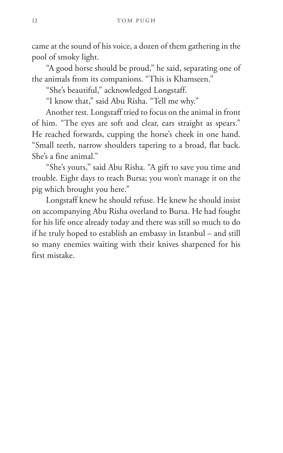came at the sound of his voice, a dozen of them gathering in the pool of smoky light.

"A good horse should be proud," he said, separating one of the animals from its companions. "This is Khamseen."

"She's beautiful," acknowledged Longstaff.

"I know that," said Abu Risha. "Tell me why."

Another test. Longstaff tried to focus on the animal in front of him. "The eyes are soft and clear, ears straight as spears." He reached forwards, cupping the horse's cheek in one hand. "Small teeth, narrow shoulders tapering to a broad, flat back. She's a fine animal."

"She's yours," said Abu Risha. "A gift to save you time and trouble. Eight days to reach Bursa; you won't manage it on the pig which brought you here."

Longstaff knew he should refuse. He knew he should insist on accompanying Abu Risha overland to Bursa. He had fought for his life once already today and there was still so much to do if he truly hoped to establish an embassy in Istanbul – and still so many enemies waiting with their knives sharpened for his first mistake.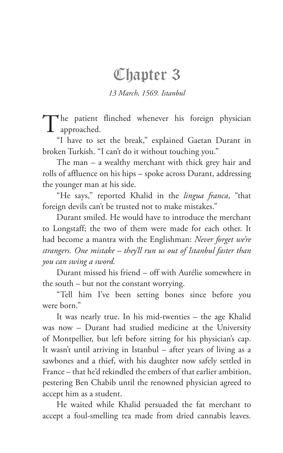### Chapter 3

*13 March, 1569. Istanbul* 

The patient flinched whenever his foreign physician approached.

"I have to set the break," explained Gaetan Durant in broken Turkish. "I can't do it without touching you."

The man – a wealthy merchant with thick grey hair and rolls of affluence on his hips – spoke across Durant, addressing the younger man at his side.

"He says," reported Khalid in the *lingua franca*, "that foreign devils can't be trusted not to make mistakes."

Durant smiled. He would have to introduce the merchant to Longstaff; the two of them were made for each other. It had become a mantra with the Englishman: *Never forget we're strangers. One mistake – they'll run us out of Istanbul faster than you can swing a sword.*

Durant missed his friend – off with Aurélie somewhere in the south – but not the constant worrying.

"Tell him I've been setting bones since before you were born."

It was nearly true. In his mid-twenties – the age Khalid was now – Durant had studied medicine at the University of Montpellier, but left before sitting for his physician's cap. It wasn't until arriving in Istanbul – after years of living as a sawbones and a thief, with his daughter now safely settled in France – that he'd rekindled the embers of that earlier ambition, pestering Ben Chabib until the renowned physician agreed to accept him as a student.

He waited while Khalid persuaded the fat merchant to accept a foul-smelling tea made from dried cannabis leaves.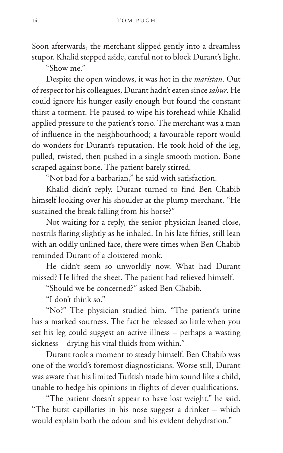Soon afterwards, the merchant slipped gently into a dreamless stupor. Khalid stepped aside, careful not to block Durant's light.

"Show me."

Despite the open windows, it was hot in the *maristan*. Out of respect for his colleagues, Durant hadn't eaten since *sahur*. He could ignore his hunger easily enough but found the constant thirst a torment. He paused to wipe his forehead while Khalid applied pressure to the patient's torso. The merchant was a man of influence in the neighbourhood; a favourable report would do wonders for Durant's reputation. He took hold of the leg, pulled, twisted, then pushed in a single smooth motion. Bone scraped against bone. The patient barely stirred.

"Not bad for a barbarian," he said with satisfaction.

Khalid didn't reply. Durant turned to find Ben Chabib himself looking over his shoulder at the plump merchant. "He sustained the break falling from his horse?"

Not waiting for a reply, the senior physician leaned close, nostrils flaring slightly as he inhaled. In his late fifties, still lean with an oddly unlined face, there were times when Ben Chabib reminded Durant of a cloistered monk.

He didn't seem so unworldly now. What had Durant missed? He lifted the sheet. The patient had relieved himself.

"Should we be concerned?" asked Ben Chabib.

"I don't think so."

"No?" The physician studied him. "The patient's urine has a marked sourness. The fact he released so little when you set his leg could suggest an active illness – perhaps a wasting sickness – drying his vital fluids from within."

Durant took a moment to steady himself. Ben Chabib was one of the world's foremost diagnosticians. Worse still, Durant was aware that his limited Turkish made him sound like a child, unable to hedge his opinions in flights of clever qualifications.

"The patient doesn't appear to have lost weight," he said. "The burst capillaries in his nose suggest a drinker – which would explain both the odour and his evident dehydration."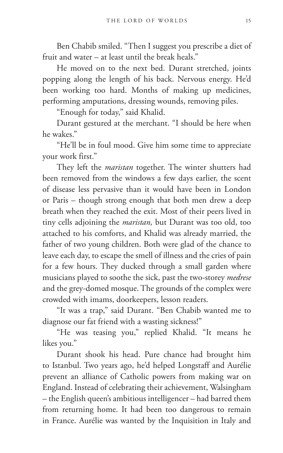Ben Chabib smiled. "Then I suggest you prescribe a diet of fruit and water – at least until the break heals."

He moved on to the next bed. Durant stretched, joints popping along the length of his back. Nervous energy. He'd been working too hard. Months of making up medicines, performing amputations, dressing wounds, removing piles.

"Enough for today," said Khalid.

Durant gestured at the merchant. "I should be here when he wakes."

"He'll be in foul mood. Give him some time to appreciate your work first."

They left the *maristan* together. The winter shutters had been removed from the windows a few days earlier, the scent of disease less pervasive than it would have been in London or Paris – though strong enough that both men drew a deep breath when they reached the exit. Most of their peers lived in tiny cells adjoining the *maristan,* but Durant was too old, too attached to his comforts, and Khalid was already married, the father of two young children. Both were glad of the chance to leave each day, to escape the smell of illness and the cries of pain for a few hours. They ducked through a small garden where musicians played to soothe the sick, past the two-storey *medrese* and the grey-domed mosque. The grounds of the complex were crowded with imams, doorkeepers, lesson readers.

"It was a trap," said Durant. "Ben Chabib wanted me to diagnose our fat friend with a wasting sickness!"

"He was teasing you," replied Khalid. "It means he likes you."

Durant shook his head. Pure chance had brought him to Istanbul. Two years ago, he'd helped Longstaff and Aurélie prevent an alliance of Catholic powers from making war on England. Instead of celebrating their achievement, Walsingham – the English queen's ambitious intelligencer – had barred them from returning home. It had been too dangerous to remain in France. Aurélie was wanted by the Inquisition in Italy and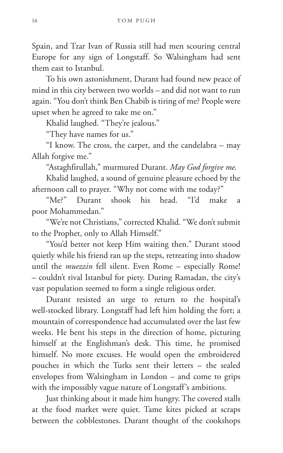Spain, and Tzar Ivan of Russia still had men scouring central Europe for any sign of Longstaff. So Walsingham had sent them east to Istanbul.

To his own astonishment, Durant had found new peace of mind in this city between two worlds – and did not want to run again. "You don't think Ben Chabib is tiring of me? People were upset when he agreed to take me on."

Khalid laughed. "They're jealous."

"They have names for us."

"I know. The cross, the carpet, and the candelabra – may Allah forgive me."

"Astaghfirullah," murmured Durant. *May God forgive me.*

Khalid laughed, a sound of genuine pleasure echoed by the afternoon call to prayer. "Why not come with me today?"

"Me?" Durant shook his head. "I'd make a poor Mohammedan."

"We're not Christians," corrected Khalid. "We don't submit to the Prophet, only to Allah Himself."

"You'd better not keep Him waiting then." Durant stood quietly while his friend ran up the steps, retreating into shadow until the *muezzin* fell silent. Even Rome – especially Rome! – couldn't rival Istanbul for piety. During Ramadan, the city's vast population seemed to form a single religious order.

Durant resisted an urge to return to the hospital's well-stocked library. Longstaff had left him holding the fort; a mountain of correspondence had accumulated over the last few weeks. He bent his steps in the direction of home, picturing himself at the Englishman's desk. This time, he promised himself. No more excuses. He would open the embroidered pouches in which the Turks sent their letters – the sealed envelopes from Walsingham in London – and come to grips with the impossibly vague nature of Longstaff's ambitions.

Just thinking about it made him hungry. The covered stalls at the food market were quiet. Tame kites picked at scraps between the cobblestones. Durant thought of the cookshops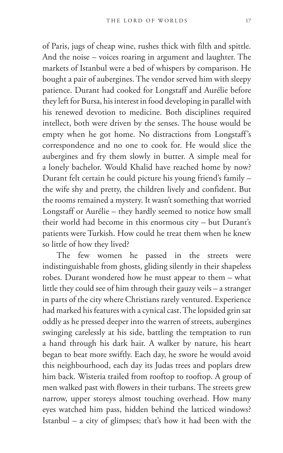of Paris, jugs of cheap wine, rushes thick with filth and spittle. And the noise – voices roaring in argument and laughter. The markets of Istanbul were a bed of whispers by comparison. He bought a pair of aubergines. The vendor served him with sleepy patience. Durant had cooked for Longstaff and Aurélie before they left for Bursa, his interest in food developing in parallel with his renewed devotion to medicine. Both disciplines required intellect, both were driven by the senses. The house would be empty when he got home. No distractions from Longstaff's correspondence and no one to cook for. He would slice the aubergines and fry them slowly in butter. A simple meal for a lonely bachelor. Would Khalid have reached home by now? Durant felt certain he could picture his young friend's family – the wife shy and pretty, the children lively and confident. But the rooms remained a mystery. It wasn't something that worried Longstaff or Aurélie – they hardly seemed to notice how small their world had become in this enormous city – but Durant's patients were Turkish. How could he treat them when he knew so little of how they lived?

The few women he passed in the streets were indistinguishable from ghosts, gliding silently in their shapeless robes. Durant wondered how he must appear to them – what little they could see of him through their gauzy veils – a stranger in parts of the city where Christians rarely ventured. Experience had marked his features with a cynical cast. The lopsided grin sat oddly as he pressed deeper into the warren of streets, aubergines swinging carelessly at his side, battling the temptation to run a hand through his dark hair. A walker by nature, his heart began to beat more swiftly. Each day, he swore he would avoid this neighbourhood, each day its Judas trees and poplars drew him back. Wisteria trailed from rooftop to rooftop. A group of men walked past with flowers in their turbans. The streets grew narrow, upper storeys almost touching overhead. How many eyes watched him pass, hidden behind the latticed windows? Istanbul – a city of glimpses; that's how it had been with the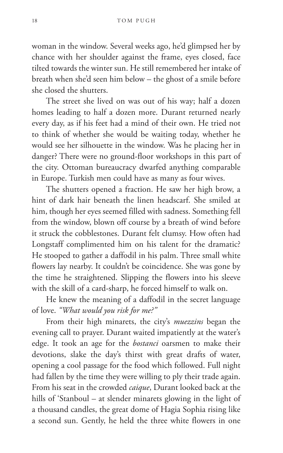woman in the window. Several weeks ago, he'd glimpsed her by chance with her shoulder against the frame, eyes closed, face tilted towards the winter sun. He still remembered her intake of breath when she'd seen him below – the ghost of a smile before she closed the shutters.

The street she lived on was out of his way; half a dozen homes leading to half a dozen more. Durant returned nearly every day, as if his feet had a mind of their own. He tried not to think of whether she would be waiting today, whether he would see her silhouette in the window. Was he placing her in danger? There were no ground-floor workshops in this part of the city. Ottoman bureaucracy dwarfed anything comparable in Europe. Turkish men could have as many as four wives.

The shutters opened a fraction. He saw her high brow, a hint of dark hair beneath the linen headscarf. She smiled at him, though her eyes seemed filled with sadness. Something fell from the window, blown off course by a breath of wind before it struck the cobblestones. Durant felt clumsy. How often had Longstaff complimented him on his talent for the dramatic? He stooped to gather a daffodil in his palm. Three small white flowers lay nearby. It couldn't be coincidence. She was gone by the time he straightened. Slipping the flowers into his sleeve with the skill of a card-sharp, he forced himself to walk on.

He knew the meaning of a daffodil in the secret language of love. *"What would you risk for me?"*

From their high minarets, the city's *muezzins* began the evening call to prayer. Durant waited impatiently at the water's edge. It took an age for the *bostanci* oarsmen to make their devotions, slake the day's thirst with great drafts of water, opening a cool passage for the food which followed. Full night had fallen by the time they were willing to ply their trade again. From his seat in the crowded *caique*, Durant looked back at the hills of 'Stanboul – at slender minarets glowing in the light of a thousand candles, the great dome of Hagia Sophia rising like a second sun. Gently, he held the three white flowers in one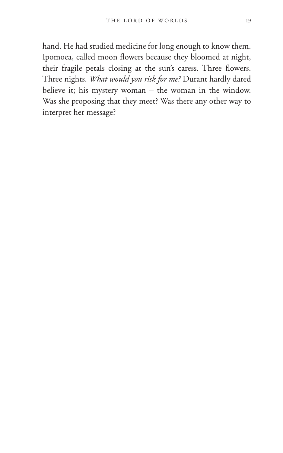hand. He had studied medicine for long enough to know them. Ipomoea, called moon flowers because they bloomed at night, their fragile petals closing at the sun's caress. Three flowers. Three nights. *What would you risk for me?* Durant hardly dared believe it; his mystery woman – the woman in the window. Was she proposing that they meet? Was there any other way to interpret her message?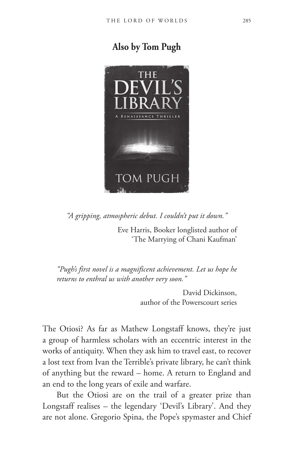

*"A gripping, atmospheric debut. I couldn't put it down."*

Eve Harris, Booker longlisted author of 'The Marrying of Chani Kaufman'

*"Pugh's first novel is a magnificent achievement. Let us hope he returns to enthral us with another very soon."*

> David Dickinson, author of the Powerscourt series

The Otiosi? As far as Mathew Longstaff knows, they're just a group of harmless scholars with an eccentric interest in the works of antiquity. When they ask him to travel east, to recover a lost text from Ivan the Terrible's private library, he can't think of anything but the reward – home. A return to England and an end to the long years of exile and warfare.

But the Otiosi are on the trail of a greater prize than Longstaff realises – the legendary 'Devil's Library'. And they are not alone. Gregorio Spina, the Pope's spymaster and Chief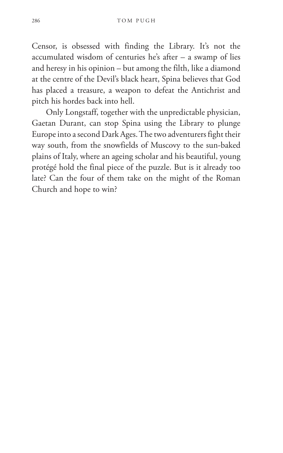Censor, is obsessed with finding the Library. It's not the accumulated wisdom of centuries he's after – a swamp of lies and heresy in his opinion – but among the filth, like a diamond at the centre of the Devil's black heart, Spina believes that God has placed a treasure, a weapon to defeat the Antichrist and pitch his hordes back into hell.

Only Longstaff, together with the unpredictable physician, Gaetan Durant, can stop Spina using the Library to plunge Europe into a second Dark Ages. The two adventurers fight their way south, from the snowfields of Muscovy to the sun-baked plains of Italy, where an ageing scholar and his beautiful, young protégé hold the final piece of the puzzle. But is it already too late? Can the four of them take on the might of the Roman Church and hope to win?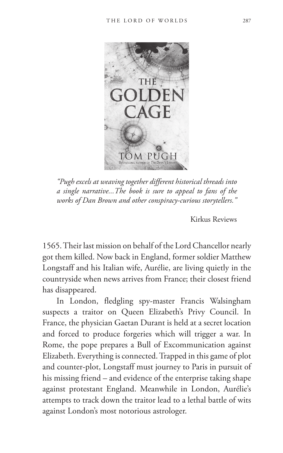

*"Pugh excels at weaving together different historical threads into a single narrative...The book is sure to appeal to fans of the works of Dan Brown and other conspiracy-curious storytellers."*

Kirkus Reviews

1565. Their last mission on behalf of the Lord Chancellor nearly got them killed. Now back in England, former soldier Matthew Longstaff and his Italian wife, Aurélie, are living quietly in the countryside when news arrives from France; their closest friend has disappeared.

In London, fledgling spy-master Francis Walsingham suspects a traitor on Queen Elizabeth's Privy Council. In France, the physician Gaetan Durant is held at a secret location and forced to produce forgeries which will trigger a war. In Rome, the pope prepares a Bull of Excommunication against Elizabeth. Everything is connected. Trapped in this game of plot and counter-plot, Longstaff must journey to Paris in pursuit of his missing friend – and evidence of the enterprise taking shape against protestant England. Meanwhile in London, Aurélie's attempts to track down the traitor lead to a lethal battle of wits against London's most notorious astrologer.